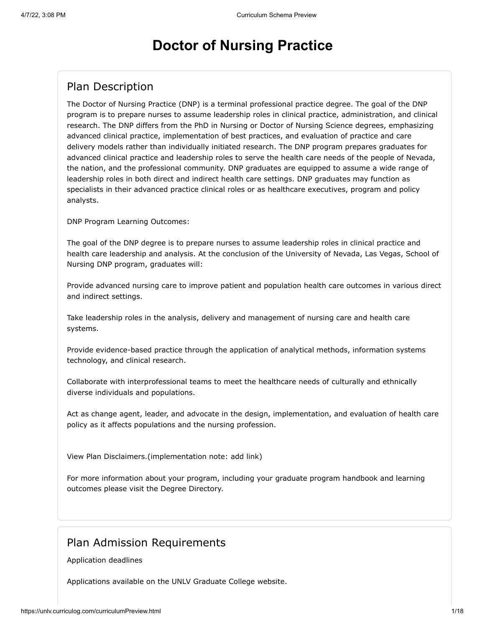# **Doctor of Nursing Practice**

## Plan Description

The Doctor of Nursing Practice (DNP) is a terminal professional practice degree. The goal of the DNP program is to prepare nurses to assume leadership roles in clinical practice, administration, and clinical research. The DNP differs from the PhD in Nursing or Doctor of Nursing Science degrees, emphasizing advanced clinical practice, implementation of best practices, and evaluation of practice and care delivery models rather than individually initiated research. The DNP program prepares graduates for advanced clinical practice and leadership roles to serve the health care needs of the people of Nevada, the nation, and the professional community. DNP graduates are equipped to assume a wide range of leadership roles in both direct and indirect health care settings. DNP graduates may function as specialists in their advanced practice clinical roles or as healthcare executives, program and policy analysts.

DNP Program Learning Outcomes:

The goal of the DNP degree is to prepare nurses to assume leadership roles in clinical practice and health care leadership and analysis. At the conclusion of the University of Nevada, Las Vegas, School of Nursing DNP program, graduates will:

Provide advanced nursing care to improve patient and population health care outcomes in various direct and indirect settings.

Take leadership roles in the analysis, delivery and management of nursing care and health care systems.

Provide evidence-based practice through the application of analytical methods, information systems technology, and clinical research.

Collaborate with interprofessional teams to meet the healthcare needs of culturally and ethnically diverse individuals and populations.

Act as change agent, leader, and advocate in the design, implementation, and evaluation of health care policy as it affects populations and the nursing profession.

View Plan Disclaimers.(implementation note: add link)

For more information about your program, including your graduate program handbook and learning outcomes please visit the Degree Directory.

## Plan Admission Requirements

Application deadlines

Applications available on the UNLV Graduate College website.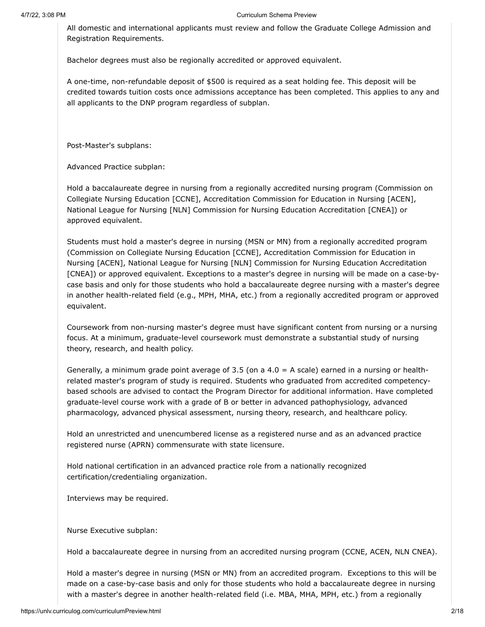All domestic and international applicants must review and follow the Graduate College Admission and Registration Requirements.

Bachelor degrees must also be regionally accredited or approved equivalent.

A one-time, non-refundable deposit of \$500 is required as a seat holding fee. This deposit will be credited towards tuition costs once admissions acceptance has been completed. This applies to any and all applicants to the DNP program regardless of subplan.

Post-Master's subplans:

Advanced Practice subplan:

Hold a baccalaureate degree in nursing from a regionally accredited nursing program (Commission on Collegiate Nursing Education [CCNE], Accreditation Commission for Education in Nursing [ACEN], National League for Nursing [NLN] Commission for Nursing Education Accreditation [CNEA]) or approved equivalent.

Students must hold a master's degree in nursing (MSN or MN) from a regionally accredited program (Commission on Collegiate Nursing Education [CCNE], Accreditation Commission for Education in Nursing [ACEN], National League for Nursing [NLN] Commission for Nursing Education Accreditation [CNEA]) or approved equivalent. Exceptions to a master's degree in nursing will be made on a case-bycase basis and only for those students who hold a baccalaureate degree nursing with a master's degree in another health-related field (e.g., MPH, MHA, etc.) from a regionally accredited program or approved equivalent.

Coursework from non-nursing master's degree must have significant content from nursing or a nursing focus. At a minimum, graduate-level coursework must demonstrate a substantial study of nursing theory, research, and health policy.

Generally, a minimum grade point average of 3.5 (on a  $4.0 = A$  scale) earned in a nursing or healthrelated master's program of study is required. Students who graduated from accredited competencybased schools are advised to contact the Program Director for additional information. Have completed graduate-level course work with a grade of B or better in advanced pathophysiology, advanced pharmacology, advanced physical assessment, nursing theory, research, and healthcare policy.

Hold an unrestricted and unencumbered license as a registered nurse and as an advanced practice registered nurse (APRN) commensurate with state licensure.

Hold national certification in an advanced practice role from a nationally recognized certification/credentialing organization.

Interviews may be required.

Nurse Executive subplan:

Hold a baccalaureate degree in nursing from an accredited nursing program (CCNE, ACEN, NLN CNEA).

Hold a master's degree in nursing (MSN or MN) from an accredited program. Exceptions to this will be made on a case-by-case basis and only for those students who hold a baccalaureate degree in nursing with a master's degree in another health-related field (i.e. MBA, MHA, MPH, etc.) from a regionally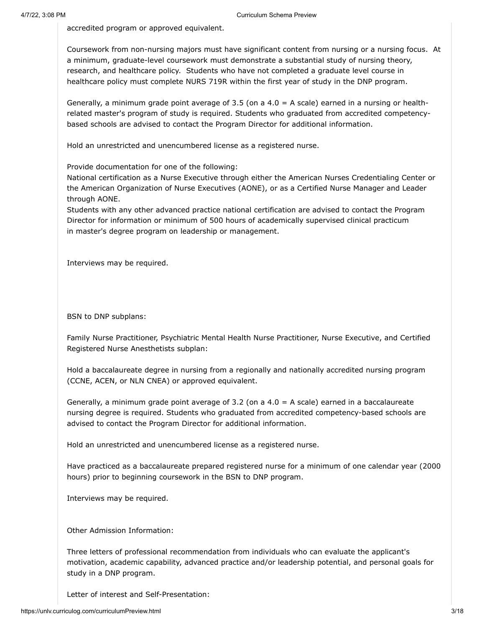accredited program or approved equivalent.

Coursework from non-nursing majors must have significant content from nursing or a nursing focus. At a minimum, graduate-level coursework must demonstrate a substantial study of nursing theory, research, and healthcare policy. Students who have not completed a graduate level course in healthcare policy must complete NURS 719R within the first year of study in the DNP program.

Generally, a minimum grade point average of 3.5 (on a  $4.0 = A$  scale) earned in a nursing or healthrelated master's program of study is required. Students who graduated from accredited competencybased schools are advised to contact the Program Director for additional information.

Hold an unrestricted and unencumbered license as a registered nurse.

Provide documentation for one of the following:

National certification as a Nurse Executive through either the American Nurses Credentialing Center or the American Organization of Nurse Executives (AONE), or as a Certified Nurse Manager and Leader through AONE.

Students with any other advanced practice national certification are advised to contact the Program Director for information or minimum of 500 hours of academically supervised clinical practicum in master's degree program on leadership or management.

Interviews may be required.

BSN to DNP subplans:

Family Nurse Practitioner, Psychiatric Mental Health Nurse Practitioner, Nurse Executive, and Certified Registered Nurse Anesthetists subplan:

Hold a baccalaureate degree in nursing from a regionally and nationally accredited nursing program (CCNE, ACEN, or NLN CNEA) or approved equivalent.

Generally, a minimum grade point average of 3.2 (on a  $4.0 = A$  scale) earned in a baccalaureate nursing degree is required. Students who graduated from accredited competency-based schools are advised to contact the Program Director for additional information.

Hold an unrestricted and unencumbered license as a registered nurse.

Have practiced as a baccalaureate prepared registered nurse for a minimum of one calendar year (2000 hours) prior to beginning coursework in the BSN to DNP program.

Interviews may be required.

Other Admission Information:

Three letters of professional recommendation from individuals who can evaluate the applicant's motivation, academic capability, advanced practice and/or leadership potential, and personal goals for study in a DNP program.

Letter of interest and Self-Presentation: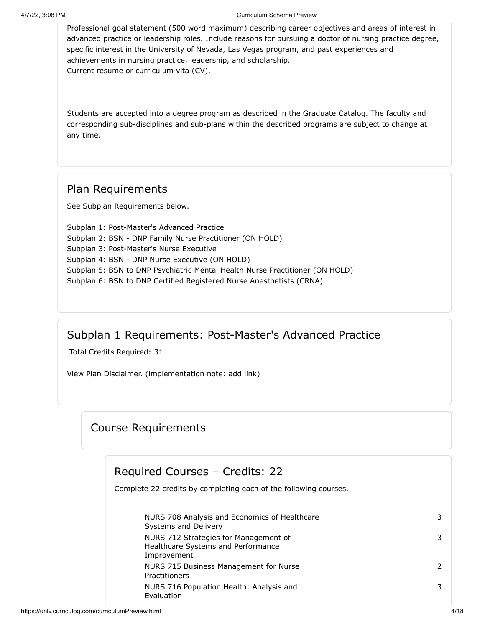Professional goal statement (500 word maximum) describing career objectives and areas of interest in advanced practice or leadership roles. Include reasons for pursuing a doctor of nursing practice degree, specific interest in the University of Nevada, Las Vegas program, and past experiences and achievements in nursing practice, leadership, and scholarship. Current resume or curriculum vita (CV).

Students are accepted into a degree program as described in the Graduate Catalog. The faculty and corresponding sub-disciplines and sub-plans within the described programs are subject to change at any time.

#### Plan Requirements

See Subplan Requirements below.

Subplan 1: Post-Master's Advanced Practice Subplan 2: BSN - DNP Family Nurse Practitioner (ON HOLD) Subplan 3: Post-Master's Nurse Executive Subplan 4: BSN - DNP Nurse Executive (ON HOLD) Subplan 5: BSN to DNP Psychiatric Mental Health Nurse Practitioner (ON HOLD) Subplan 6: BSN to DNP Certified Registered Nurse Anesthetists (CRNA)

## Subplan 1 Requirements: Post-Master's Advanced Practice

Total Credits Required: 31

View Plan Disclaimer. (implementation note: add link)

## Course Requirements

#### Required Courses – Credits: 22

Complete 22 credits by completing each of the following courses.

| NURS 708 Analysis and Economics of Healthcare<br>Systems and Delivery                      | 3 |
|--------------------------------------------------------------------------------------------|---|
| NURS 712 Strategies for Management of<br>Healthcare Systems and Performance<br>Improvement | 3 |
| NURS 715 Business Management for Nurse<br>Practitioners                                    |   |
| NURS 716 Population Health: Analysis and<br>Evaluation                                     | 3 |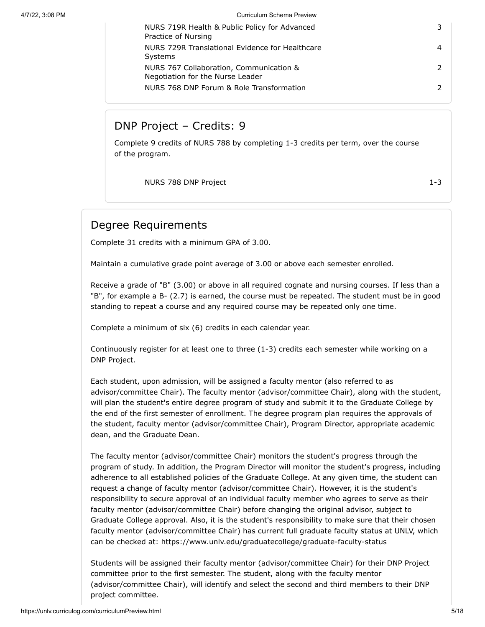| NURS 719R Health & Public Policy for Advanced<br>Practice of Nursing        |  |
|-----------------------------------------------------------------------------|--|
| NURS 729R Translational Evidence for Healthcare<br><b>Systems</b>           |  |
| NURS 767 Collaboration, Communication &<br>Negotiation for the Nurse Leader |  |
| NURS 768 DNP Forum & Role Transformation                                    |  |

## DNP Project – Credits: 9

Complete 9 credits of NURS 788 by completing 1-3 credits per term, over the course of the program.

NURS 788 DNP Project 2002 1-3

## Degree Requirements

Complete 31 credits with a minimum GPA of 3.00.

Maintain a cumulative grade point average of 3.00 or above each semester enrolled.

Receive a grade of "B" (3.00) or above in all required cognate and nursing courses. If less than a "B", for example a B- (2.7) is earned, the course must be repeated. The student must be in good standing to repeat a course and any required course may be repeated only one time.

Complete a minimum of six (6) credits in each calendar year.

Continuously register for at least one to three (1-3) credits each semester while working on a DNP Project.

Each student, upon admission, will be assigned a faculty mentor (also referred to as advisor/committee Chair). The faculty mentor (advisor/committee Chair), along with the student, will plan the student's entire degree program of study and submit it to the Graduate College by the end of the first semester of enrollment. The degree program plan requires the approvals of the student, faculty mentor (advisor/committee Chair), Program Director, appropriate academic dean, and the Graduate Dean.

The faculty mentor (advisor/committee Chair) monitors the student's progress through the program of study. In addition, the Program Director will monitor the student's progress, including adherence to all established policies of the Graduate College. At any given time, the student can request a change of faculty mentor (advisor/committee Chair). However, it is the student's responsibility to secure approval of an individual faculty member who agrees to serve as their faculty mentor (advisor/committee Chair) before changing the original advisor, subject to Graduate College approval. Also, it is the student's responsibility to make sure that their chosen faculty mentor (advisor/committee Chair) has current full graduate faculty status at UNLV, which can be checked at: https://www.unlv.edu/graduatecollege/graduate-faculty-status

Students will be assigned their faculty mentor (advisor/committee Chair) for their DNP Project committee prior to the first semester. The student, along with the faculty mentor (advisor/committee Chair), will identify and select the second and third members to their DNP project committee.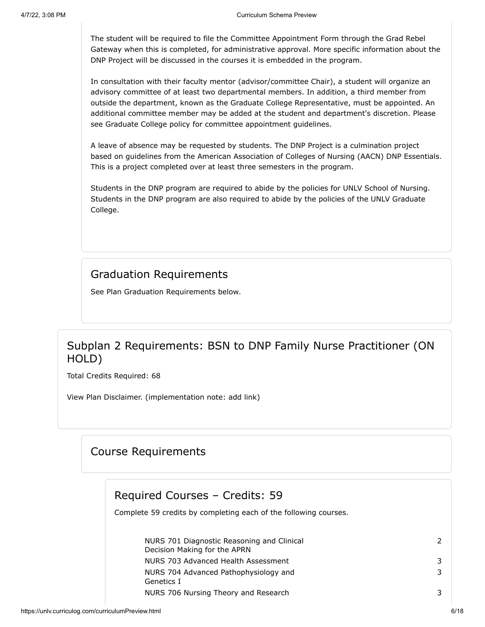The student will be required to file the Committee Appointment Form through the Grad Rebel Gateway when this is completed, for administrative approval. More specific information about the DNP Project will be discussed in the courses it is embedded in the program.

In consultation with their faculty mentor (advisor/committee Chair), a student will organize an advisory committee of at least two departmental members. In addition, a third member from outside the department, known as the Graduate College Representative, must be appointed. An additional committee member may be added at the student and department's discretion. Please see Graduate College policy for committee appointment guidelines.

A leave of absence may be requested by students. The DNP Project is a culmination project based on guidelines from the American Association of Colleges of Nursing (AACN) DNP Essentials. This is a project completed over at least three semesters in the program.

Students in the DNP program are required to abide by the policies for UNLV School of Nursing. Students in the DNP program are also required to abide by the policies of the UNLV Graduate College.

#### Graduation Requirements

See Plan Graduation Requirements below.

## Subplan 2 Requirements: BSN to DNP Family Nurse Practitioner (ON HOLD)

Total Credits Required: 68

View Plan Disclaimer. (implementation note: add link)

#### Course Requirements

#### Required Courses – Credits: 59

Complete 59 credits by completing each of the following courses.

| NURS 701 Diagnostic Reasoning and Clinical<br>Decision Making for the APRN |  |
|----------------------------------------------------------------------------|--|
| NURS 703 Advanced Health Assessment                                        |  |
| NURS 704 Advanced Pathophysiology and                                      |  |
| Genetics I                                                                 |  |
| NURS 706 Nursing Theory and Research                                       |  |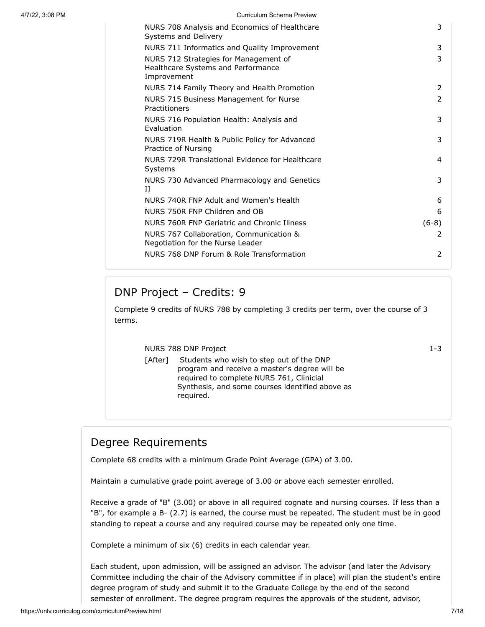| NURS 708 Analysis and Economics of Healthcare<br>Systems and Delivery                      | 3             |
|--------------------------------------------------------------------------------------------|---------------|
| NURS 711 Informatics and Quality Improvement                                               | 3             |
| NURS 712 Strategies for Management of<br>Healthcare Systems and Performance<br>Improvement | 3             |
| NURS 714 Family Theory and Health Promotion                                                | 2             |
| NURS 715 Business Management for Nurse<br>Practitioners                                    | $\mathcal{P}$ |
| NURS 716 Population Health: Analysis and<br>Evaluation                                     | 3             |
| NURS 719R Health & Public Policy for Advanced<br>Practice of Nursing                       | 3             |
| NURS 729R Translational Evidence for Healthcare<br>Systems                                 | 4             |
| NURS 730 Advanced Pharmacology and Genetics<br>H                                           | 3             |
| NURS 740R FNP Adult and Women's Health                                                     | 6             |
| NURS 750R FNP Children and OB                                                              | 6             |
| NURS 760R FNP Geriatric and Chronic Illness                                                | $(6-8)$       |
| NURS 767 Collaboration, Communication &<br>Negotiation for the Nurse Leader                | 2             |
| NURS 768 DNP Forum & Role Transformation                                                   | 2             |

## DNP Project – Credits: 9

Complete 9 credits of NURS 788 by completing 3 credits per term, over the course of 3 terms.

NURS 788 DNP Project 2002 1-3

[After] Students who wish to step out of the DNP program and receive a master's degree will be required to complete NURS 761, Clinicial Synthesis, and some courses identified above as required.

## Degree Requirements

Complete 68 credits with a minimum Grade Point Average (GPA) of 3.00.

Maintain a cumulative grade point average of 3.00 or above each semester enrolled.

Receive a grade of "B" (3.00) or above in all required cognate and nursing courses. If less than a "B", for example a B- (2.7) is earned, the course must be repeated. The student must be in good standing to repeat a course and any required course may be repeated only one time.

Complete a minimum of six (6) credits in each calendar year.

Each student, upon admission, will be assigned an advisor. The advisor (and later the Advisory Committee including the chair of the Advisory committee if in place) will plan the student's entire degree program of study and submit it to the Graduate College by the end of the second semester of enrollment. The degree program requires the approvals of the student, advisor,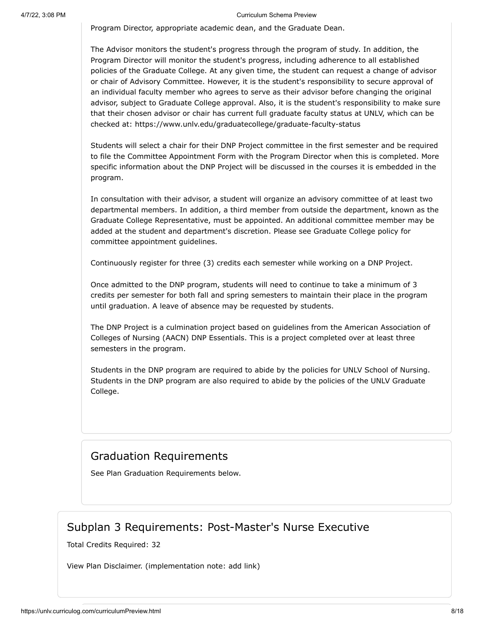Program Director, appropriate academic dean, and the Graduate Dean.

The Advisor monitors the student's progress through the program of study. In addition, the Program Director will monitor the student's progress, including adherence to all established policies of the Graduate College. At any given time, the student can request a change of advisor or chair of Advisory Committee. However, it is the student's responsibility to secure approval of an individual faculty member who agrees to serve as their advisor before changing the original advisor, subject to Graduate College approval. Also, it is the student's responsibility to make sure that their chosen advisor or chair has current full graduate faculty status at UNLV, which can be checked at: https://www.unlv.edu/graduatecollege/graduate-faculty-status

Students will select a chair for their DNP Project committee in the first semester and be required to file the Committee Appointment Form with the Program Director when this is completed. More specific information about the DNP Project will be discussed in the courses it is embedded in the program.

In consultation with their advisor, a student will organize an advisory committee of at least two departmental members. In addition, a third member from outside the department, known as the Graduate College Representative, must be appointed. An additional committee member may be added at the student and department's discretion. Please see Graduate College policy for committee appointment guidelines.

Continuously register for three (3) credits each semester while working on a DNP Project.

Once admitted to the DNP program, students will need to continue to take a minimum of 3 credits per semester for both fall and spring semesters to maintain their place in the program until graduation. A leave of absence may be requested by students.

The DNP Project is a culmination project based on guidelines from the American Association of Colleges of Nursing (AACN) DNP Essentials. This is a project completed over at least three semesters in the program.

Students in the DNP program are required to abide by the policies for UNLV School of Nursing. Students in the DNP program are also required to abide by the policies of the UNLV Graduate College.

#### Graduation Requirements

See Plan Graduation Requirements below.

#### Subplan 3 Requirements: Post-Master's Nurse Executive

Total Credits Required: 32

View Plan Disclaimer. (implementation note: add link)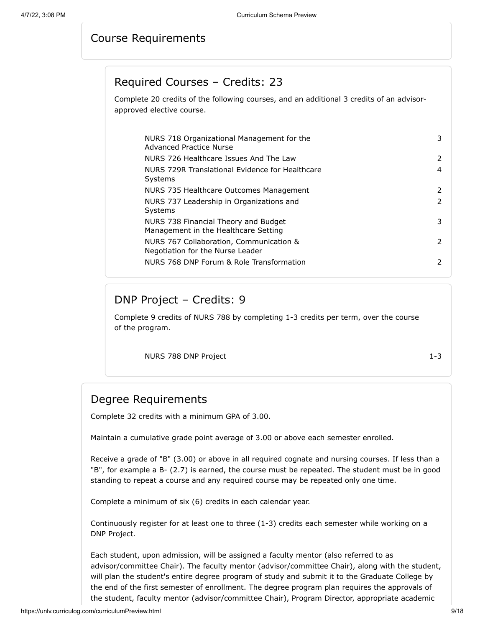## Course Requirements

## Required Courses – Credits: 23

Complete 20 credits of the following courses, and an additional 3 credits of an advisorapproved elective course.

| NURS 718 Organizational Management for the<br>Advanced Practice Nurse        | 3             |
|------------------------------------------------------------------------------|---------------|
| NURS 726 Healthcare Issues And The Law                                       | 2             |
| NURS 729R Translational Evidence for Healthcare<br>Systems                   | 4             |
| NURS 735 Healthcare Outcomes Management                                      | $\mathcal{P}$ |
| NURS 737 Leadership in Organizations and<br>Systems                          | 2             |
| NURS 738 Financial Theory and Budget<br>Management in the Healthcare Setting | 3             |
| NURS 767 Collaboration, Communication &<br>Negotiation for the Nurse Leader  | $\mathcal{P}$ |
| NURS 768 DNP Forum & Role Transformation                                     | $\mathcal{P}$ |

## DNP Project – Credits: 9

Complete 9 credits of NURS 788 by completing 1-3 credits per term, over the course of the program.

NURS 788 DNP Project 2002 1-3

## Degree Requirements

Complete 32 credits with a minimum GPA of 3.00.

Maintain a cumulative grade point average of 3.00 or above each semester enrolled.

Receive a grade of "B" (3.00) or above in all required cognate and nursing courses. If less than a "B", for example a B- (2.7) is earned, the course must be repeated. The student must be in good standing to repeat a course and any required course may be repeated only one time.

Complete a minimum of six (6) credits in each calendar year.

Continuously register for at least one to three (1-3) credits each semester while working on a DNP Project.

Each student, upon admission, will be assigned a faculty mentor (also referred to as advisor/committee Chair). The faculty mentor (advisor/committee Chair), along with the student, will plan the student's entire degree program of study and submit it to the Graduate College by the end of the first semester of enrollment. The degree program plan requires the approvals of the student, faculty mentor (advisor/committee Chair), Program Director, appropriate academic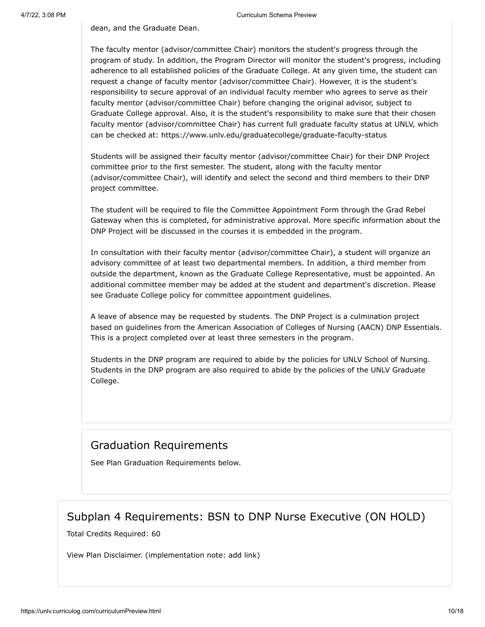dean, and the Graduate Dean.

The faculty mentor (advisor/committee Chair) monitors the student's progress through the program of study. In addition, the Program Director will monitor the student's progress, including adherence to all established policies of the Graduate College. At any given time, the student can request a change of faculty mentor (advisor/committee Chair). However, it is the student's responsibility to secure approval of an individual faculty member who agrees to serve as their faculty mentor (advisor/committee Chair) before changing the original advisor, subject to Graduate College approval. Also, it is the student's responsibility to make sure that their chosen faculty mentor (advisor/committee Chair) has current full graduate faculty status at UNLV, which can be checked at: https://www.unlv.edu/graduatecollege/graduate-faculty-status

Students will be assigned their faculty mentor (advisor/committee Chair) for their DNP Project committee prior to the first semester. The student, along with the faculty mentor (advisor/committee Chair), will identify and select the second and third members to their DNP project committee.

The student will be required to file the Committee Appointment Form through the Grad Rebel Gateway when this is completed, for administrative approval. More specific information about the DNP Project will be discussed in the courses it is embedded in the program.

In consultation with their faculty mentor (advisor/committee Chair), a student will organize an advisory committee of at least two departmental members. In addition, a third member from outside the department, known as the Graduate College Representative, must be appointed. An additional committee member may be added at the student and department's discretion. Please see Graduate College policy for committee appointment guidelines.

A leave of absence may be requested by students. The DNP Project is a culmination project based on guidelines from the American Association of Colleges of Nursing (AACN) DNP Essentials. This is a project completed over at least three semesters in the program.

Students in the DNP program are required to abide by the policies for UNLV School of Nursing. Students in the DNP program are also required to abide by the policies of the UNLV Graduate College.

## Graduation Requirements

See Plan Graduation Requirements below.

#### Subplan 4 Requirements: BSN to DNP Nurse Executive (ON HOLD)

Total Credits Required: 60

View Plan Disclaimer. (implementation note: add link)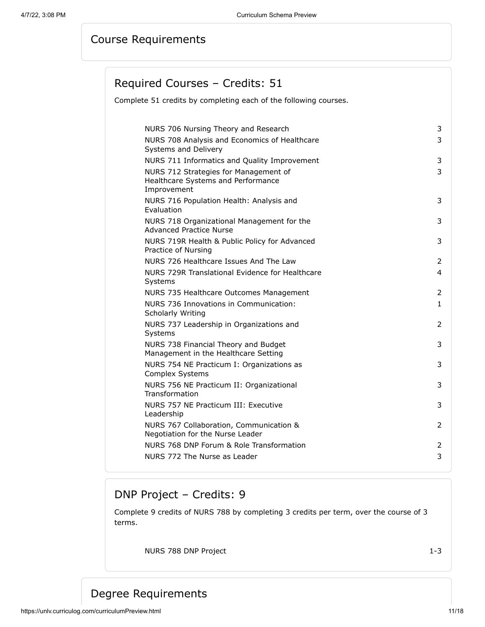## Course Requirements

## Required Courses – Credits: 51

Complete 51 credits by completing each of the following courses.

| NURS 706 Nursing Theory and Research                                         | 3              |
|------------------------------------------------------------------------------|----------------|
| NURS 708 Analysis and Economics of Healthcare                                | 3              |
| Systems and Delivery                                                         |                |
| NURS 711 Informatics and Quality Improvement                                 | 3              |
| NURS 712 Strategies for Management of                                        | 3              |
| Healthcare Systems and Performance<br>Improvement                            |                |
| NURS 716 Population Health: Analysis and                                     | 3              |
| Evaluation                                                                   |                |
| NURS 718 Organizational Management for the<br>Advanced Practice Nurse        | 3              |
| NURS 719R Health & Public Policy for Advanced<br>Practice of Nursing         | 3              |
| NURS 726 Healthcare Issues And The Law                                       | 2              |
| NURS 729R Translational Evidence for Healthcare<br>Systems                   | 4              |
| NURS 735 Healthcare Outcomes Management                                      | 2              |
| NURS 736 Innovations in Communication:<br>Scholarly Writing                  | 1.             |
| NURS 737 Leadership in Organizations and<br>Systems                          | 2              |
| NURS 738 Financial Theory and Budget<br>Management in the Healthcare Setting | 3              |
| NURS 754 NE Practicum I: Organizations as<br>Complex Systems                 | 3              |
| NURS 756 NE Practicum II: Organizational<br>Transformation                   | 3              |
| NURS 757 NE Practicum III: Executive<br>Leadership                           | 3              |
| NURS 767 Collaboration, Communication &<br>Negotiation for the Nurse Leader  | $\overline{2}$ |
| NURS 768 DNP Forum & Role Transformation                                     | 2              |
| NURS 772 The Nurse as Leader                                                 | 3              |
|                                                                              |                |

## DNP Project – Credits: 9

Complete 9 credits of NURS 788 by completing 3 credits per term, over the course of 3 terms.

NURS 788 DNP Project 1-3

## Degree Requirements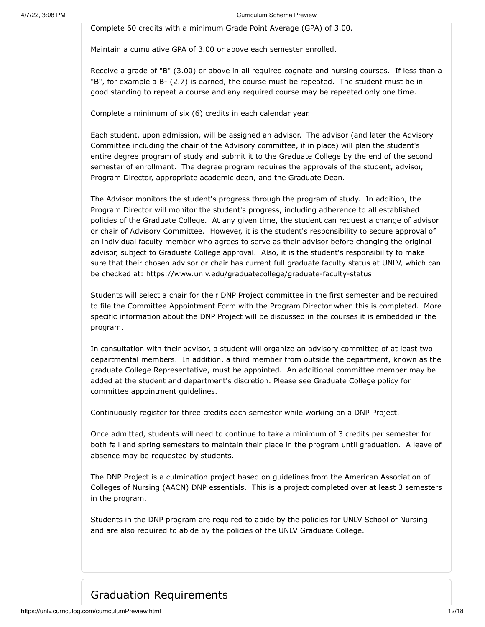Complete 60 credits with a minimum Grade Point Average (GPA) of 3.00.

Maintain a cumulative GPA of 3.00 or above each semester enrolled.

Receive a grade of "B" (3.00) or above in all required cognate and nursing courses. If less than a "B", for example a B- (2.7) is earned, the course must be repeated. The student must be in good standing to repeat a course and any required course may be repeated only one time.

Complete a minimum of six (6) credits in each calendar year.

Each student, upon admission, will be assigned an advisor. The advisor (and later the Advisory Committee including the chair of the Advisory committee, if in place) will plan the student's entire degree program of study and submit it to the Graduate College by the end of the second semester of enrollment. The degree program requires the approvals of the student, advisor, Program Director, appropriate academic dean, and the Graduate Dean.

The Advisor monitors the student's progress through the program of study. In addition, the Program Director will monitor the student's progress, including adherence to all established policies of the Graduate College. At any given time, the student can request a change of advisor or chair of Advisory Committee. However, it is the student's responsibility to secure approval of an individual faculty member who agrees to serve as their advisor before changing the original advisor, subject to Graduate College approval. Also, it is the student's responsibility to make sure that their chosen advisor or chair has current full graduate faculty status at UNLV, which can be checked at: https://www.unlv.edu/graduatecollege/graduate-faculty-status

Students will select a chair for their DNP Project committee in the first semester and be required to file the Committee Appointment Form with the Program Director when this is completed. More specific information about the DNP Project will be discussed in the courses it is embedded in the program.

In consultation with their advisor, a student will organize an advisory committee of at least two departmental members. In addition, a third member from outside the department, known as the graduate College Representative, must be appointed. An additional committee member may be added at the student and department's discretion. Please see Graduate College policy for committee appointment guidelines.

Continuously register for three credits each semester while working on a DNP Project.

Once admitted, students will need to continue to take a minimum of 3 credits per semester for both fall and spring semesters to maintain their place in the program until graduation. A leave of absence may be requested by students.

The DNP Project is a culmination project based on guidelines from the American Association of Colleges of Nursing (AACN) DNP essentials. This is a project completed over at least 3 semesters in the program.

Students in the DNP program are required to abide by the policies for UNLV School of Nursing and are also required to abide by the policies of the UNLV Graduate College.

## Graduation Requirements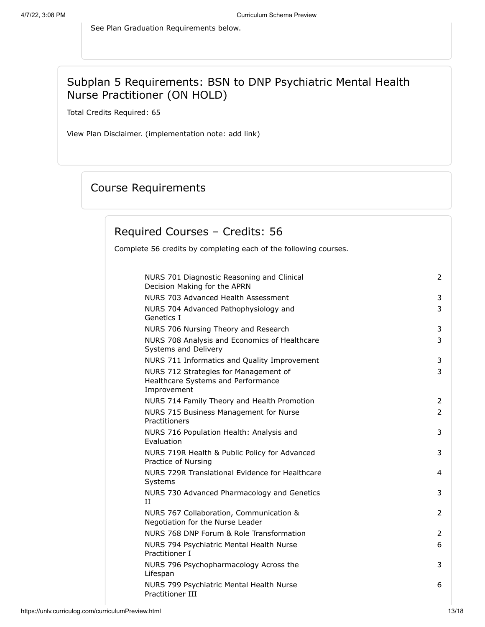See Plan Graduation Requirements below.

## Subplan 5 Requirements: BSN to DNP Psychiatric Mental Health Nurse Practitioner (ON HOLD)

Total Credits Required: 65

View Plan Disclaimer. (implementation note: add link)

## Course Requirements

## Required Courses – Credits: 56

Complete 56 credits by completing each of the following courses.

| NURS 701 Diagnostic Reasoning and Clinical<br>Decision Making for the APRN                 | 2              |
|--------------------------------------------------------------------------------------------|----------------|
| NURS 703 Advanced Health Assessment                                                        | 3              |
| NURS 704 Advanced Pathophysiology and<br>Genetics I                                        | 3              |
| NURS 706 Nursing Theory and Research                                                       | 3              |
| NURS 708 Analysis and Economics of Healthcare<br>Systems and Delivery                      | 3              |
| NURS 711 Informatics and Quality Improvement                                               | 3              |
| NURS 712 Strategies for Management of<br>Healthcare Systems and Performance<br>Improvement | 3              |
| NURS 714 Family Theory and Health Promotion                                                | $\overline{2}$ |
| NURS 715 Business Management for Nurse<br>Practitioners                                    | 2              |
| NURS 716 Population Health: Analysis and<br>Evaluation                                     | 3              |
| NURS 719R Health & Public Policy for Advanced<br>Practice of Nursing                       | 3              |
| NURS 729R Translational Evidence for Healthcare<br>Systems                                 | 4              |
| NURS 730 Advanced Pharmacology and Genetics<br>Π                                           | 3              |
| NURS 767 Collaboration, Communication &<br>Negotiation for the Nurse Leader                | $\overline{2}$ |
| NURS 768 DNP Forum & Role Transformation                                                   | 2              |
| NURS 794 Psychiatric Mental Health Nurse<br>Practitioner I                                 | 6              |
| NURS 796 Psychopharmacology Across the<br>Lifespan                                         | 3              |
| NURS 799 Psychiatric Mental Health Nurse<br>Practitioner III                               | 6              |
|                                                                                            |                |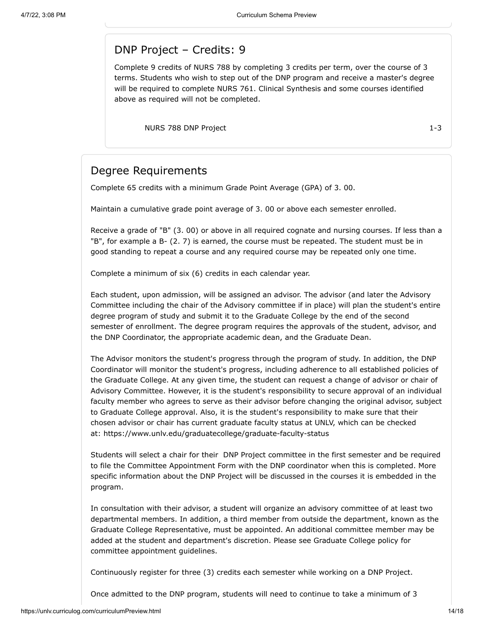#### DNP Project – Credits: 9

Complete 9 credits of NURS 788 by completing 3 credits per term, over the course of 3 terms. Students who wish to step out of the DNP program and receive a master's degree will be required to complete NURS 761. Clinical Synthesis and some courses identified above as required will not be completed.

NURS 788 DNP Project 1-3

## Degree Requirements

Complete 65 credits with a minimum Grade Point Average (GPA) of 3. 00.

Maintain a cumulative grade point average of 3. 00 or above each semester enrolled.

Receive a grade of "B" (3. 00) or above in all required cognate and nursing courses. If less than a "B", for example a B- (2. 7) is earned, the course must be repeated. The student must be in good standing to repeat a course and any required course may be repeated only one time.

Complete a minimum of six (6) credits in each calendar year.

Each student, upon admission, will be assigned an advisor. The advisor (and later the Advisory Committee including the chair of the Advisory committee if in place) will plan the student's entire degree program of study and submit it to the Graduate College by the end of the second semester of enrollment. The degree program requires the approvals of the student, advisor, and the DNP Coordinator, the appropriate academic dean, and the Graduate Dean.

The Advisor monitors the student's progress through the program of study. In addition, the DNP Coordinator will monitor the student's progress, including adherence to all established policies of the Graduate College. At any given time, the student can request a change of advisor or chair of Advisory Committee. However, it is the student's responsibility to secure approval of an individual faculty member who agrees to serve as their advisor before changing the original advisor, subject to Graduate College approval. Also, it is the student's responsibility to make sure that their chosen advisor or chair has current graduate faculty status at UNLV, which can be checked at: https://www.unlv.edu/graduatecollege/graduate-faculty-status

Students will select a chair for their DNP Project committee in the first semester and be required to file the Committee Appointment Form with the DNP coordinator when this is completed. More specific information about the DNP Project will be discussed in the courses it is embedded in the program.

In consultation with their advisor, a student will organize an advisory committee of at least two departmental members. In addition, a third member from outside the department, known as the Graduate College Representative, must be appointed. An additional committee member may be added at the student and department's discretion. Please see Graduate College policy for committee appointment guidelines.

Continuously register for three (3) credits each semester while working on a DNP Project.

Once admitted to the DNP program, students will need to continue to take a minimum of 3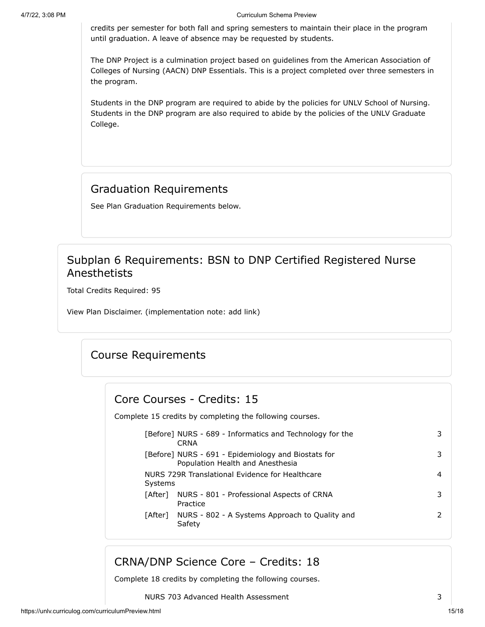credits per semester for both fall and spring semesters to maintain their place in the program until graduation. A leave of absence may be requested by students.

The DNP Project is a culmination project based on guidelines from the American Association of Colleges of Nursing (AACN) DNP Essentials. This is a project completed over three semesters in the program.

Students in the DNP program are required to abide by the policies for UNLV School of Nursing. Students in the DNP program are also required to abide by the policies of the UNLV Graduate College.

## Graduation Requirements

See Plan Graduation Requirements below.

## Subplan 6 Requirements: BSN to DNP Certified Registered Nurse Anesthetists

Total Credits Required: 95

View Plan Disclaimer. (implementation note: add link)

## Course Requirements

#### Core Courses - Credits: 15

Complete 15 credits by completing the following courses.

| [Before] NURS - 689 - Informatics and Technology for the<br><b>CRNA</b>                 | 3. |
|-----------------------------------------------------------------------------------------|----|
| [Before] NURS - 691 - Epidemiology and Biostats for<br>Population Health and Anesthesia | 3. |
| NURS 729R Translational Evidence for Healthcare<br>Systems                              | 4  |
| NURS - 801 - Professional Aspects of CRNA<br>[After]<br>Practice                        | 3  |
| [After] NURS - 802 - A Systems Approach to Quality and<br>Safety                        | 2  |

## CRNA/DNP Science Core – Credits: 18

Complete 18 credits by completing the following courses.

NURS 703 Advanced Health Assessment 3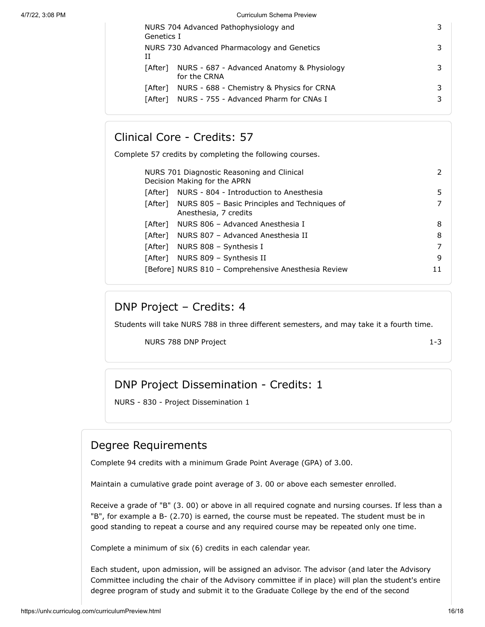| Genetics I | NURS 704 Advanced Pathophysiology and                      |   |
|------------|------------------------------------------------------------|---|
| Н          | NURS 730 Advanced Pharmacology and Genetics                |   |
| [After]    | NURS - 687 - Advanced Anatomy & Physiology<br>for the CRNA | 3 |
| [After]    | NURS - 688 - Chemistry & Physics for CRNA                  | 3 |
|            | [After] NURS - 755 - Advanced Pharm for CNAs I             | 3 |
|            |                                                            |   |

#### Clinical Core - Credits: 57

Complete 57 credits by completing the following courses.

| NURS 701 Diagnostic Reasoning and Clinical<br>Decision Making for the APRN |                                                                                |    |
|----------------------------------------------------------------------------|--------------------------------------------------------------------------------|----|
| [After]                                                                    | NURS - 804 - Introduction to Anesthesia                                        | 5  |
|                                                                            | [After] NURS 805 – Basic Principles and Techniques of<br>Anesthesia, 7 credits |    |
|                                                                            | [After] NURS 806 - Advanced Anesthesia I                                       | 8  |
|                                                                            | [After] NURS 807 - Advanced Anesthesia II                                      | 8  |
|                                                                            | [After] NURS 808 - Synthesis I                                                 |    |
|                                                                            | [After] NURS 809 - Synthesis II                                                | 9  |
|                                                                            | [Before] NURS 810 - Comprehensive Anesthesia Review                            | 11 |

## DNP Project – Credits: 4

Students will take NURS 788 in three different semesters, and may take it a fourth time.

NURS 788 DNP Project 1-3

## DNP Project Dissemination - Credits: 1

NURS - 830 - Project Dissemination 1

#### Degree Requirements

Complete 94 credits with a minimum Grade Point Average (GPA) of 3.00.

Maintain a cumulative grade point average of 3. 00 or above each semester enrolled.

Receive a grade of "B" (3. 00) or above in all required cognate and nursing courses. If less than a "B", for example a B- (2.70) is earned, the course must be repeated. The student must be in good standing to repeat a course and any required course may be repeated only one time.

Complete a minimum of six (6) credits in each calendar year.

Each student, upon admission, will be assigned an advisor. The advisor (and later the Advisory Committee including the chair of the Advisory committee if in place) will plan the student's entire degree program of study and submit it to the Graduate College by the end of the second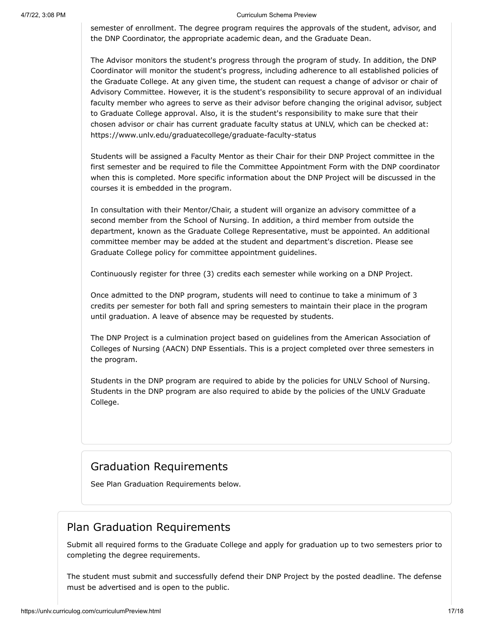semester of enrollment. The degree program requires the approvals of the student, advisor, and the DNP Coordinator, the appropriate academic dean, and the Graduate Dean.

The Advisor monitors the student's progress through the program of study. In addition, the DNP Coordinator will monitor the student's progress, including adherence to all established policies of the Graduate College. At any given time, the student can request a change of advisor or chair of Advisory Committee. However, it is the student's responsibility to secure approval of an individual faculty member who agrees to serve as their advisor before changing the original advisor, subject to Graduate College approval. Also, it is the student's responsibility to make sure that their chosen advisor or chair has current graduate faculty status at UNLV, which can be checked at: https://www.unlv.edu/graduatecollege/graduate-faculty-status

Students will be assigned a Faculty Mentor as their Chair for their DNP Project committee in the first semester and be required to file the Committee Appointment Form with the DNP coordinator when this is completed. More specific information about the DNP Project will be discussed in the courses it is embedded in the program.

In consultation with their Mentor/Chair, a student will organize an advisory committee of a second member from the School of Nursing. In addition, a third member from outside the department, known as the Graduate College Representative, must be appointed. An additional committee member may be added at the student and department's discretion. Please see Graduate College policy for committee appointment guidelines.

Continuously register for three (3) credits each semester while working on a DNP Project.

Once admitted to the DNP program, students will need to continue to take a minimum of 3 credits per semester for both fall and spring semesters to maintain their place in the program until graduation. A leave of absence may be requested by students.

The DNP Project is a culmination project based on guidelines from the American Association of Colleges of Nursing (AACN) DNP Essentials. This is a project completed over three semesters in the program.

Students in the DNP program are required to abide by the policies for UNLV School of Nursing. Students in the DNP program are also required to abide by the policies of the UNLV Graduate College.

#### Graduation Requirements

See Plan Graduation Requirements below.

#### Plan Graduation Requirements

Submit all required forms to the Graduate College and apply for graduation up to two semesters prior to completing the degree requirements.

The student must submit and successfully defend their DNP Project by the posted deadline. The defense must be advertised and is open to the public.